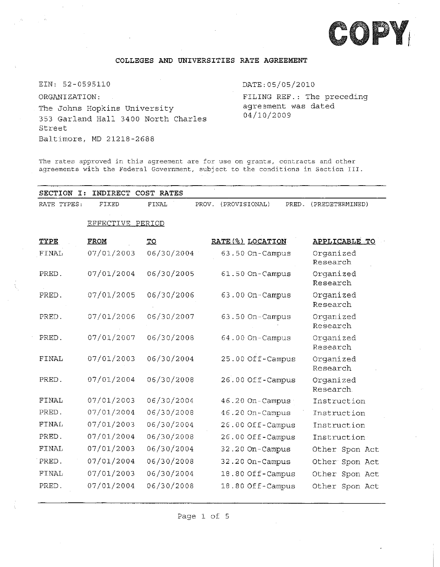

## **COLLEGES AND UNIVERSITIES RATE AGREEMENT**

EIN: 52-0595110 ORGANIZATION: The Johns Hopkins University 353 Garland Hall 3400 North Charles Street Baltimore, MD 21218-2688

DATE:05/05/2010 FILING REF.: The preceding agreement was dated 04/10/2009

The rates approved in this agreement are for use on grants, contracts and other agreements with the Federal Government, subject to the conditions in Section III.

| SECTION<br>$\mathbf{I}:$<br>INDIRECT COST RATES |             |                         |                        |                        |  |  |  |  |
|-------------------------------------------------|-------------|-------------------------|------------------------|------------------------|--|--|--|--|
| RATE TYPES:                                     | FIXED       | FINAL<br>PROV.          | (PROVISIONAL)<br>PRED. | (PREDETERMINED)        |  |  |  |  |
| EFFECTIVE PERIOD                                |             |                         |                        |                        |  |  |  |  |
|                                                 |             |                         |                        |                        |  |  |  |  |
| TYPE                                            | <b>FROM</b> | $\underline{\text{TO}}$ | RATE (%) LOCATION      | APPLICABLE TO          |  |  |  |  |
| <b>FINAL</b>                                    | 07/01/2003  | 06/30/2004              | 63.50 On-Campus        | Organized<br>Research  |  |  |  |  |
| PRED.                                           | 07/01/2004  | 06/30/2005              | 61.50 On-Campus        | Organized<br>Research  |  |  |  |  |
| PRED.                                           | 07/01/2005  | 06/30/2006              | 63.00 On-Campus        | Organized<br>Research  |  |  |  |  |
| PRED.                                           | 07/01/2006  | 06/30/2007              | 63.50 On-Campus        | Organized<br>Research  |  |  |  |  |
| PRED.                                           | 07/01/2007  | 06/30/2008              | 64.00 On-Campus        | Organized<br>Research  |  |  |  |  |
| <b>FINAL</b>                                    | 07/01/2003  | 06/30/2004              | 25.00 Off-Campus       | Organized<br>Research  |  |  |  |  |
| PRED.                                           | 07/01/2004  | 06/30/2008              | 26.00 Off-Campus       | Organized<br>Research. |  |  |  |  |
| FINAL                                           | 07/01/2003  | 06/30/2004              | 46.20 On-Campus        | Instruction            |  |  |  |  |
| PRED.                                           | 07/01/2004  | 06/30/2008              | 46.20 On-Campus        | Instruction            |  |  |  |  |
| FINAL                                           | 07/01/2003  | 06/30/2004              | 26.00 Off-Campus       | Instruction            |  |  |  |  |
| PRED.                                           | 07/01/2004  | 06/30/2008              | 26.00 Off-Campus       | Instruction            |  |  |  |  |
| FINAL                                           | 07/01/2003  | 06/30/2004              | 32.20 On-Campus        | Other Spon Act         |  |  |  |  |
| PRED.                                           | 07/01/2004  | 06/30/2008              | 32.20 On-Campus        | Other Spon Act         |  |  |  |  |
| FINAL                                           | 07/01/2003  | 06/30/2004              | 18.80 Off-Campus       | Other Spon Act         |  |  |  |  |
| PRED.                                           | 07/01/2004  | 06/30/2008              | 18.80 Off-Campus       | Other Spon Act         |  |  |  |  |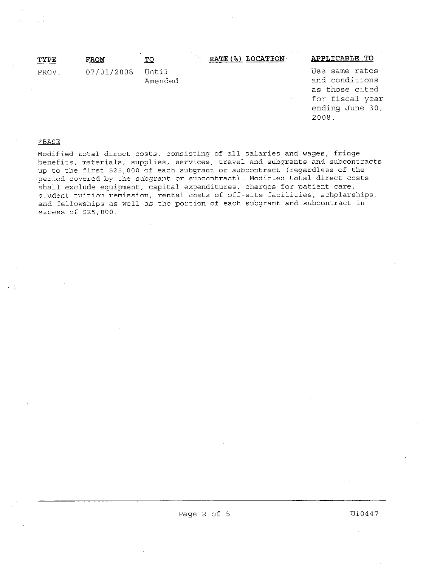| TYPE  | FROM             | то      | RATE(%) LOCATION | APPLICABLE TO                                                         |
|-------|------------------|---------|------------------|-----------------------------------------------------------------------|
| PROV. | 07/01/2008 Until | Amended |                  | Use same rates<br>and conditions<br>as those cited<br>for fiscal vear |

for fiscal year ending June <sup>30</sup>, 2008.

 $\mathcal{L}^{\text{max}}_{\text{max}}$  and  $\mathcal{L}^{\text{max}}_{\text{max}}$  and  $\mathcal{L}^{\text{max}}_{\text{max}}$ 

## \*BASE

Modified total direct costs, consisting of all salaries and wages, fringe benefits, materials, supplies, services, travel and subgrants and subcontracts up to the first \$25,<sup>000</sup> of each subgrant or subcontract (regardless of the period covered by the subgrant or subcontract). Modified total direct costs shall exclude equipment, capital expenditures, charges for patient care, student tuition remission, rental costs of off-site facilities, scholarships, and fellowships as well as the portion of each subgrant and subcontract in excess of \$25,000.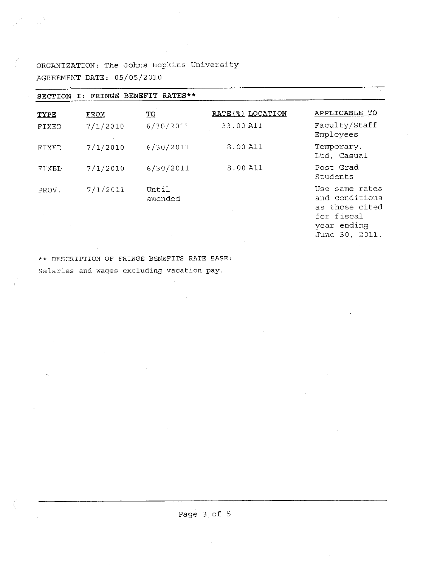ORGANIZATION: The Johns Hopkins University AGREEMENT DATE: 05/05/2010

| I: FRINGE BENEFIT RATES**<br><b>SECTION</b> |          |                  |                   |                                                                                 |  |  |  |
|---------------------------------------------|----------|------------------|-------------------|---------------------------------------------------------------------------------|--|--|--|
| <b>TYPE</b>                                 | FROM     | TQ               | RATE (%) LOCATION | APPLICABLE TO                                                                   |  |  |  |
| FIXED                                       | 7/1/2010 | 6/30/2011        | 33.00 All         | Faculty/Staff<br>Employees                                                      |  |  |  |
| FIXED                                       | 7/1/2010 | 6/30/2011        | 8.00 All          | Temporary,<br>Ltd, Casual                                                       |  |  |  |
| FIXED                                       | 7/1/2010 | 6/30/2011        | 8.00 All          | Post Grad<br>Students                                                           |  |  |  |
| PROV.                                       | 7/1/2011 | Until<br>amended |                   | Use same rates<br>and conditions<br>as those cited<br>for fiscal<br>year ending |  |  |  |

June 30, 2011.

\*\* DESCRIPTION OF FRINGE BENEFITS RATE BASE:

Salaries and wages excluding vacation pay.

Page <sup>3</sup> of 5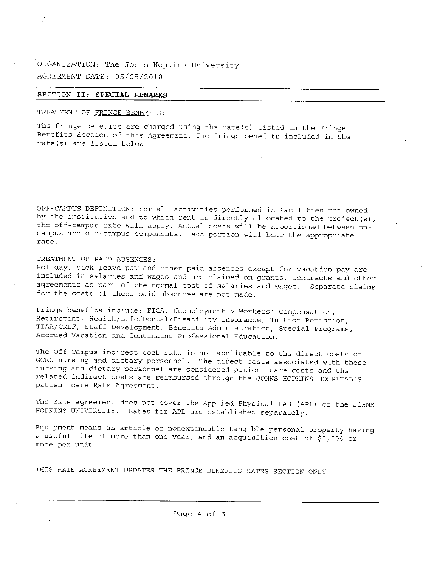ORGANIZATION: The Johns Hopkins University AGREEMENT DATE: 05/05/2010

## **SECTION II: SPECIAL REMARKS**

# TREATMENT OF FRINGE BENEFITS:

The fringe benefits are charged using the rate(s) listed in the Fringe Benefits Section of this Agreement. The fringe benefits included in the rate(s) are listed below.

OFF-CAMPUS DEFINITION: For all activities performed in facilities not owned by the institution and to which rent is directly allocated to the project(s), the off-campus rate will apply. Actual costs will be apportioned between oncampus and off-campus components. Each portion will bear the appropriate rate.

TREATMENT OF PAID ABSENCES:

Holiday, sick leave pay and other paid absences except for vacation pay are included in salaries and wages and are claimed on grants, contracts and other agreements as part of the normal cost of salaries and wages. Separate claims for the costs of these paid absences are not made.

Fringe benefits include: FICA, Unemployment & Workers' Compensation, Retirement, Health/Life/Dental/Disability Insurance, Tuition Remission, TIAA/CREF, Staff Development, Benefits Administration, Special Programs, Accrued Vacation and Continuing Professional Education.

The Off-Campus indirect cost rate is not applicable to the direct costs of GCRC nursing and dietary personnel. The direct costs associated with these nursing and dietary personnel are considered patient care costs and the related indirect costs are reimbursed through the JOHNS HOPKINS HOSPITAL'<sup>S</sup> patient care Rate Agreement.

The rate agreement does not cover the Applied Physical LAB (APL) of the JOHNS HOPKINS UNIVERSITY. Rates for APL are established separately.

Equipment means an article of nonexpendable tangible personal property having <sup>a</sup> useful life of more than one year, and an acquisition cost of \$5,<sup>000</sup> or more per unit.

THIS RATE AGREEMENT UPDATES THE FRINGE BENEFITS RATES SECTION ONLY.

Page 4 of 5